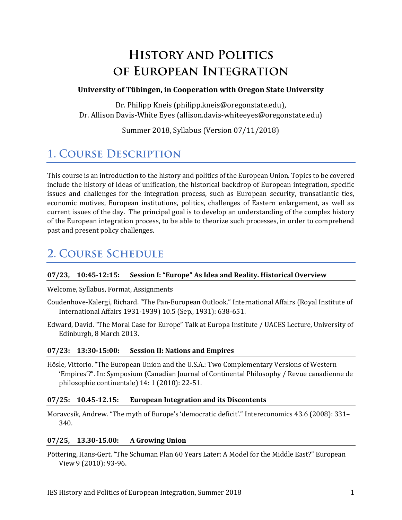# **HISTORY AND POLITICS** OF EUROPEAN INTEGRATION

#### **University of Tübingen, in Cooperation with Oregon State University**

Dr. Philipp Kneis (philipp.kneis@oregonstate.edu), Dr. Allison Davis-White Eyes (allison.davis-whiteeyes@oregonstate.edu)

Summer 2018, Syllabus (Version 07/11/2018)

## **1. COURSE DESCRIPTION**

This course is an introduction to the history and politics of the European Union. Topics to be covered include the history of ideas of unification, the historical backdrop of European integration, specific issues and challenges for the integration process, such as European security, transatlantic ties, economic motives, European institutions, politics, challenges of Eastern enlargement, as well as current issues of the day. The principal goal is to develop an understanding of the complex history of the European integration process, to be able to theorize such processes, in order to comprehend past and present policy challenges.

## **2. COURSE SCHEDULE**

#### **07/23, 10:45-12:15: Session I: "Europe" As Idea and Reality. Historical Overview**

#### Welcome, Syllabus, Format, Assignments

- Coudenhove-Kalergi, Richard. "The Pan-European Outlook." International Affairs (Royal Institute of International Affairs 1931-1939) 10.5 (Sep., 1931): 638-651.
- Edward, David. "The Moral Case for Europe" Talk at Europa Institute / UACES Lecture, University of Edinburgh, 8 March 2013.

#### **07/23: 13:30-15:00: Session II: Nations and Empires**

Hösle, Vittorio. "The European Union and the U.S.A.: Two Complementary Versions of Western 'Empires'?". In: Symposium (Canadian Journal of Continental Philosophy / Revue canadienne de philosophie continentale) 14: 1 (2010): 22-51.

#### **07/25: 10.45-12.15: European Integration and its Discontents**

Moravcsik, Andrew. "The myth of Europe's 'democratic deficit'." Intereconomics 43.6 (2008): 331– 340.

#### **07/25, 13.30-15.00: A Growing Union**

Pöttering, Hans-Gert. "The Schuman Plan 60 Years Later: A Model for the Middle East?" European View 9 (2010): 93-96.